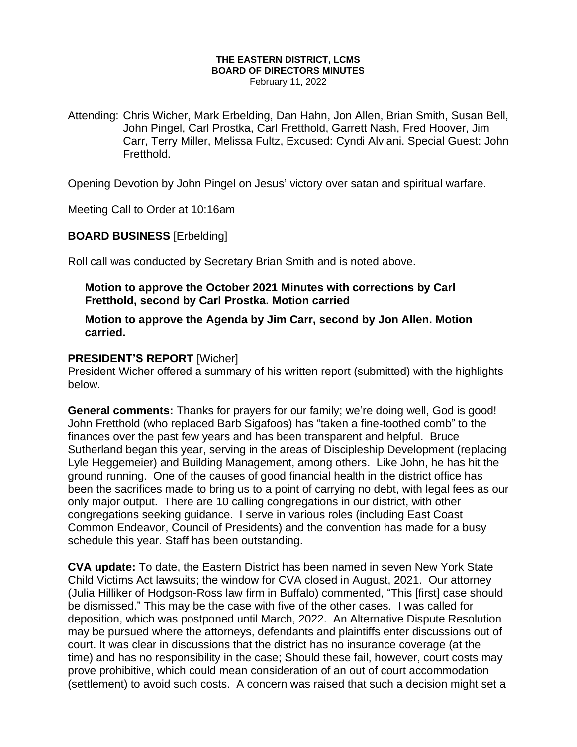#### **THE EASTERN DISTRICT, LCMS BOARD OF DIRECTORS MINUTES**  February 11, 2022

Attending: Chris Wicher, Mark Erbelding, Dan Hahn, Jon Allen, Brian Smith, Susan Bell, John Pingel, Carl Prostka, Carl Fretthold, Garrett Nash, Fred Hoover, Jim Carr, Terry Miller, Melissa Fultz, Excused: Cyndi Alviani. Special Guest: John Fretthold.

Opening Devotion by John Pingel on Jesus' victory over satan and spiritual warfare.

Meeting Call to Order at 10:16am

### **BOARD BUSINESS** [Erbelding]

Roll call was conducted by Secretary Brian Smith and is noted above.

# **Motion to approve the October 2021 Minutes with corrections by Carl Fretthold, second by Carl Prostka. Motion carried**

**Motion to approve the Agenda by Jim Carr, second by Jon Allen. Motion carried.**

#### **PRESIDENT'S REPORT** [Wicher]

President Wicher offered a summary of his written report (submitted) with the highlights below.

**General comments:** Thanks for prayers for our family; we're doing well, God is good! John Fretthold (who replaced Barb Sigafoos) has "taken a fine-toothed comb" to the finances over the past few years and has been transparent and helpful. Bruce Sutherland began this year, serving in the areas of Discipleship Development (replacing Lyle Heggemeier) and Building Management, among others. Like John, he has hit the ground running. One of the causes of good financial health in the district office has been the sacrifices made to bring us to a point of carrying no debt, with legal fees as our only major output. There are 10 calling congregations in our district, with other congregations seeking guidance. I serve in various roles (including East Coast Common Endeavor, Council of Presidents) and the convention has made for a busy schedule this year. Staff has been outstanding.

**CVA update:** To date, the Eastern District has been named in seven New York State Child Victims Act lawsuits; the window for CVA closed in August, 2021. Our attorney (Julia Hilliker of Hodgson-Ross law firm in Buffalo) commented, "This [first] case should be dismissed." This may be the case with five of the other cases. I was called for deposition, which was postponed until March, 2022. An Alternative Dispute Resolution may be pursued where the attorneys, defendants and plaintiffs enter discussions out of court. It was clear in discussions that the district has no insurance coverage (at the time) and has no responsibility in the case; Should these fail, however, court costs may prove prohibitive, which could mean consideration of an out of court accommodation (settlement) to avoid such costs. A concern was raised that such a decision might set a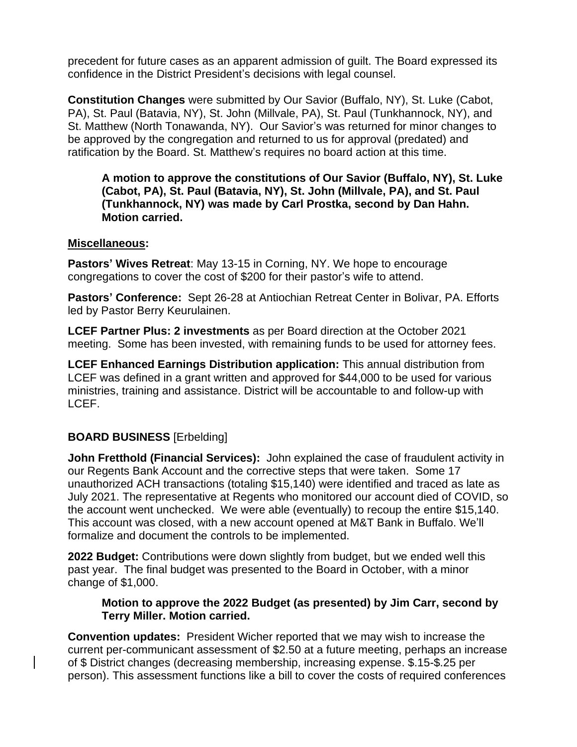precedent for future cases as an apparent admission of guilt. The Board expressed its confidence in the District President's decisions with legal counsel.

**Constitution Changes** were submitted by Our Savior (Buffalo, NY), St. Luke (Cabot, PA), St. Paul (Batavia, NY), St. John (Millvale, PA), St. Paul (Tunkhannock, NY), and St. Matthew (North Tonawanda, NY). Our Savior's was returned for minor changes to be approved by the congregation and returned to us for approval (predated) and ratification by the Board. St. Matthew's requires no board action at this time.

**A motion to approve the constitutions of Our Savior (Buffalo, NY), St. Luke (Cabot, PA), St. Paul (Batavia, NY), St. John (Millvale, PA), and St. Paul (Tunkhannock, NY) was made by Carl Prostka, second by Dan Hahn. Motion carried.**

#### **Miscellaneous:**

**Pastors' Wives Retreat**: May 13-15 in Corning, NY. We hope to encourage congregations to cover the cost of \$200 for their pastor's wife to attend.

**Pastors' Conference:** Sept 26-28 at Antiochian Retreat Center in Bolivar, PA. Efforts led by Pastor Berry Keurulainen.

**LCEF Partner Plus: 2 investments** as per Board direction at the October 2021 meeting. Some has been invested, with remaining funds to be used for attorney fees.

**LCEF Enhanced Earnings Distribution application:** This annual distribution from LCEF was defined in a grant written and approved for \$44,000 to be used for various ministries, training and assistance. District will be accountable to and follow-up with LCEF.

### **BOARD BUSINESS** [Erbelding]

**John Fretthold (Financial Services):** John explained the case of fraudulent activity in our Regents Bank Account and the corrective steps that were taken. Some 17 unauthorized ACH transactions (totaling \$15,140) were identified and traced as late as July 2021. The representative at Regents who monitored our account died of COVID, so the account went unchecked. We were able (eventually) to recoup the entire \$15,140. This account was closed, with a new account opened at M&T Bank in Buffalo. We'll formalize and document the controls to be implemented.

**2022 Budget:** Contributions were down slightly from budget, but we ended well this past year. The final budget was presented to the Board in October, with a minor change of \$1,000.

### **Motion to approve the 2022 Budget (as presented) by Jim Carr, second by Terry Miller. Motion carried.**

**Convention updates:** President Wicher reported that we may wish to increase the current per-communicant assessment of \$2.50 at a future meeting, perhaps an increase of \$ District changes (decreasing membership, increasing expense. \$.15-\$.25 per person). This assessment functions like a bill to cover the costs of required conferences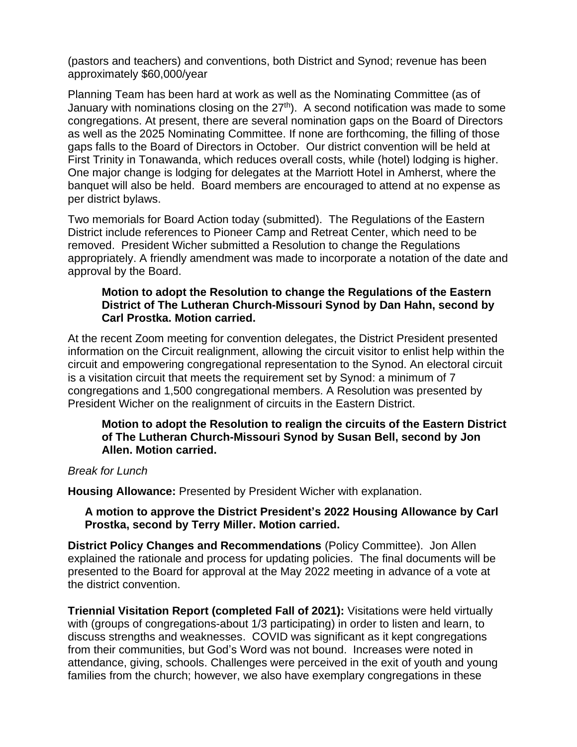(pastors and teachers) and conventions, both District and Synod; revenue has been approximately \$60,000/year

Planning Team has been hard at work as well as the Nominating Committee (as of January with nominations closing on the  $27<sup>th</sup>$ . A second notification was made to some congregations. At present, there are several nomination gaps on the Board of Directors as well as the 2025 Nominating Committee. If none are forthcoming, the filling of those gaps falls to the Board of Directors in October. Our district convention will be held at First Trinity in Tonawanda, which reduces overall costs, while (hotel) lodging is higher. One major change is lodging for delegates at the Marriott Hotel in Amherst, where the banquet will also be held. Board members are encouraged to attend at no expense as per district bylaws.

Two memorials for Board Action today (submitted). The Regulations of the Eastern District include references to Pioneer Camp and Retreat Center, which need to be removed. President Wicher submitted a Resolution to change the Regulations appropriately. A friendly amendment was made to incorporate a notation of the date and approval by the Board.

### **Motion to adopt the Resolution to change the Regulations of the Eastern District of The Lutheran Church-Missouri Synod by Dan Hahn, second by Carl Prostka. Motion carried.**

At the recent Zoom meeting for convention delegates, the District President presented information on the Circuit realignment, allowing the circuit visitor to enlist help within the circuit and empowering congregational representation to the Synod. An electoral circuit is a visitation circuit that meets the requirement set by Synod: a minimum of 7 congregations and 1,500 congregational members. A Resolution was presented by President Wicher on the realignment of circuits in the Eastern District.

### **Motion to adopt the Resolution to realign the circuits of the Eastern District of The Lutheran Church-Missouri Synod by Susan Bell, second by Jon Allen. Motion carried.**

#### *Break for Lunch*

**Housing Allowance:** Presented by President Wicher with explanation.

### **A motion to approve the District President's 2022 Housing Allowance by Carl Prostka, second by Terry Miller. Motion carried.**

**District Policy Changes and Recommendations** (Policy Committee). Jon Allen explained the rationale and process for updating policies. The final documents will be presented to the Board for approval at the May 2022 meeting in advance of a vote at the district convention.

**Triennial Visitation Report (completed Fall of 2021):** Visitations were held virtually with (groups of congregations-about 1/3 participating) in order to listen and learn, to discuss strengths and weaknesses. COVID was significant as it kept congregations from their communities, but God's Word was not bound. Increases were noted in attendance, giving, schools. Challenges were perceived in the exit of youth and young families from the church; however, we also have exemplary congregations in these